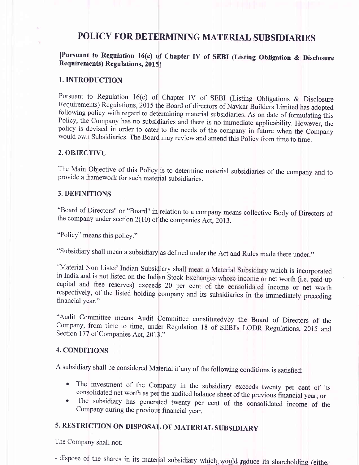## POLICY FOR DETERMINING MATERIAL SUBSIDIARIES

### [Pursuant to Regulation 16(c) of chapter IV of SEBI (Listing obligation & Disclosure Requirements) Regulations, 20l5l

#### 1. INTRODUCTION

Pursuant to Regulation 16(c) of Chapter IV of SEBI (Listing Obligations & Disclosure Requirements) Regulations, 2015 the Board of directors of Navkar Builders Limited has adopted following policy with regard to determining material subsidiaries. As on date of formulating this Policy, the Company has no subsidiaries and there is no immediate applicability. However, the policy is devised in order to would own Subsidiaries. The Board may review and amend this Policy from time to time.

#### 2. OBJECTIVE

The Main Objective of this Policy is to determine material subsidiaries of the company and to provide a framework for such material subsidiaries.

#### 3. DEFINITIONS

"Board of Directors" or "Board" in relation to a company means collective Body of Directors of the company under section  $2(10)$  of the companies Act,  $2013$ .

"Policy" means this policy."

"Subsidiary shall mean a subsidiary as defined under the Act and Rules made there under."

"Material Non Listed Indian Subsidiary shall mean a Material Subsidiary which is incorporated<br>in India and is not listed on the Indian Stock Exchanges whose income or net worth (i.e. paid-up capital and free reserves) exceeds 20 per cent of the consolidated income or net worth<br>respectively, of the listed holding company and its subsidiaries in the immediately preceding financial year."

"Audit Committee means Audit Committee constitutedvby the Board of Directors of the Company, from time to time, under Regulation 18 of SEBI's LODR Regulations, 2015 and Section 177 of Companies Act, 2013."

#### 4. CONDITIONS

<sup>A</sup>subsidiary shall be considered Material if any of the following conditions is satisfied:

- The investment of the Company in the subsidiary exceeds twenty per cent of its consolidated net worth as per the audited balance sheet of the previous financial year; or
- The subsidiary has generated twenty per cent of the consolidated income of the Company during the previous financial year.

# 5. RESTRICTION ON DISPOSAL OF MATERIAL SUBSIDIARY

The Company shall not:

- dispose of the shares in its material subsidiary which would reduce its shareholding (either